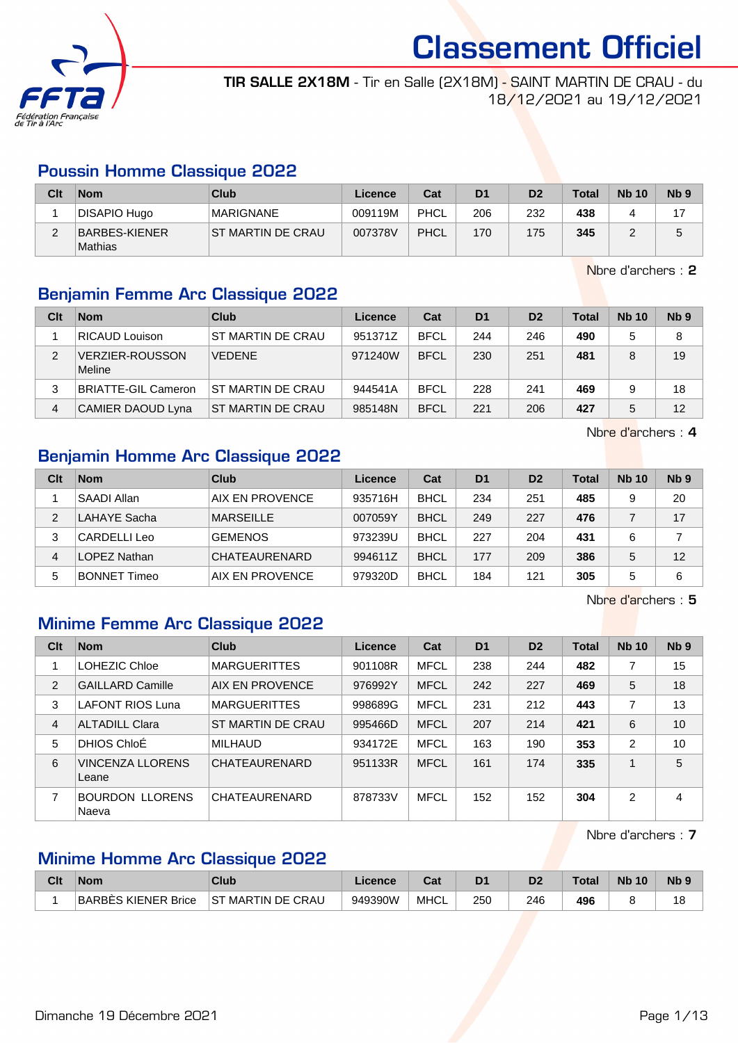

TIR SALLE 2X18M - Tir en Salle (2X18M) - SAINT MARTIN DE CRAU - du 18/12/2021 au 19/12/2021

#### Poussin Homme Classique 2022

| Clt | <b>Nom</b>               | Club               | Licence | Cat  | D <sub>1</sub> | D <sub>2</sub> | <b>Total</b> | <b>Nb 10</b> | N <sub>b</sub> <sub>9</sub> |
|-----|--------------------------|--------------------|---------|------|----------------|----------------|--------------|--------------|-----------------------------|
|     | DISAPIO Hugo             | <b>MARIGNANE</b>   | 009119M | PHCL | 206            | 232            | 438          |              |                             |
|     | BARBES-KIENER<br>Mathias | IST MARTIN DE CRAU | 007378V | PHCL | 170            | 175            | 345          |              |                             |

Nbre d'archers : 2

### Benjamin Femme Arc Classique 2022

| Clt | <b>Nom</b>                       | Club                     | Licence | Cat         | D <sub>1</sub> | D <sub>2</sub> | <b>Total</b> | <b>Nb 10</b> | N <sub>b</sub> <sub>9</sub> |
|-----|----------------------------------|--------------------------|---------|-------------|----------------|----------------|--------------|--------------|-----------------------------|
|     | <b>RICAUD Louison</b>            | ST MARTIN DE CRAU        | 951371Z | <b>BFCL</b> | 244            | 246            | 490          | 5            | 8                           |
| 2   | <b>VERZIER-ROUSSON</b><br>Meline | <b>VEDENE</b>            | 971240W | <b>BFCL</b> | 230            | 251            | 481          | 8            | 19                          |
| 3   | <b>BRIATTE-GIL Cameron</b>       | ST MARTIN DE CRAU        | 944541A | <b>BFCL</b> | 228            | 241            | 469          | 9            | 18                          |
| 4   | CAMIER DAOUD Lyna                | <b>ST MARTIN DE CRAU</b> | 985148N | <b>BFCL</b> | 221            | 206            | 427          | 5            | 12                          |

Nbre d'archers : 4

#### Benjamin Homme Arc Classique 2022

| Clt | <b>Nom</b>          | Club                 | Licence | Cat         | D <sub>1</sub> | D <sub>2</sub> | <b>Total</b> | <b>Nb 10</b> | Nb <sub>9</sub> |
|-----|---------------------|----------------------|---------|-------------|----------------|----------------|--------------|--------------|-----------------|
|     | <b>SAADI Allan</b>  | AIX EN PROVENCE      | 935716H | <b>BHCL</b> | 234            | 251            | 485          | 9            | 20              |
| 2   | LAHAYE Sacha        | <b>MARSEILLE</b>     | 007059Y | <b>BHCL</b> | 249            | 227            | 476          |              | 17              |
| 3   | CARDELLI Leo        | <b>GEMENOS</b>       | 973239U | <b>BHCL</b> | 227            | 204            | 431          | 6            |                 |
| 4   | LOPEZ Nathan        | <b>CHATEAURENARD</b> | 994611Z | <b>BHCL</b> | 177            | 209            | 386          | 5            | 12              |
| 5   | <b>BONNET Timeo</b> | AIX EN PROVENCE      | 979320D | <b>BHCL</b> | 184            | 121            | 305          | 5            | 6               |

Nbre d'archers : 5

#### Minime Femme Arc Classique 2022

| Clt            | <b>Nom</b>                       | Club                 | Licence | Cat         | D <sub>1</sub> | D <sub>2</sub> | <b>Total</b> | <b>Nb 10</b>   | Nb <sub>9</sub> |
|----------------|----------------------------------|----------------------|---------|-------------|----------------|----------------|--------------|----------------|-----------------|
|                | LOHEZIC Chloe                    | <b>MARGUERITTES</b>  | 901108R | <b>MFCL</b> | 238            | 244            | 482          |                | 15              |
| $\overline{2}$ | <b>GAILLARD Camille</b>          | AIX EN PROVENCE      | 976992Y | <b>MFCL</b> | 242            | 227            | 469          | 5              | 18              |
| 3              | <b>LAFONT RIOS Luna</b>          | <b>MARGUERITTES</b>  | 998689G | <b>MFCL</b> | 231            | 212            | 443          | 7              | 13              |
| 4              | <b>ALTADILL Clara</b>            | ST MARTIN DE CRAU    | 995466D | <b>MFCL</b> | 207            | 214            | 421          | 6              | 10              |
| 5              | DHIOS ChloÉ                      | <b>MILHAUD</b>       | 934172E | <b>MFCL</b> | 163            | 190            | 353          | $\overline{2}$ | 10              |
| 6              | <b>VINCENZA LLORENS</b><br>Leane | <b>CHATEAURENARD</b> | 951133R | <b>MFCL</b> | 161            | 174            | 335          | 1              | 5               |
| 7              | <b>BOURDON LLORENS</b><br>Naeva  | CHATEAURENARD        | 878733V | <b>MFCL</b> | 152            | 152            | 304          | $\overline{2}$ | 4               |

Nbre d'archers : 7

#### Minime Homme Arc Classique 2022

| Clt | <b>Nom</b>          | Club               | Licence | יהי<br>⊌a⊧ | D1  |     | <b>Total</b> | <b>Nb 10</b> | <b>Nb</b> |
|-----|---------------------|--------------------|---------|------------|-----|-----|--------------|--------------|-----------|
|     | BARBES KIENER Brice | IST MARTIN DE CRAU | 949390W | MHCL       | 250 | 246 | 496          |              | ı c       |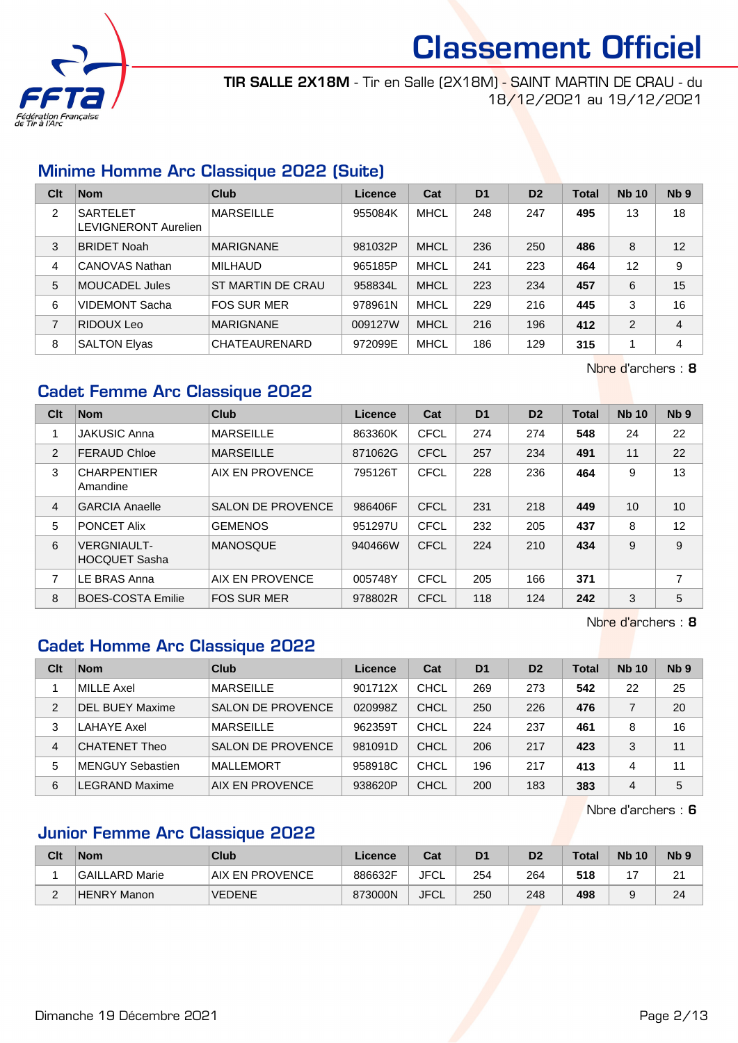

TIR SALLE 2X18M - Tir en Salle (2X18M) - SAINT MARTIN DE CRAU - du 18/12/2021 au 19/12/2021

#### Minime Homme Arc Classique 2022 (Suite)

| Clt | <b>Nom</b>                              | Club               | Licence | Cat         | D <sub>1</sub> | D <sub>2</sub> | <b>Total</b> | <b>Nb 10</b> | Nb <sub>9</sub> |
|-----|-----------------------------------------|--------------------|---------|-------------|----------------|----------------|--------------|--------------|-----------------|
| 2   | <b>SARTELET</b><br>LEVIGNERONT Aurelien | <b>MARSEILLE</b>   | 955084K | <b>MHCL</b> | 248            | 247            | 495          | 13           | 18              |
| 3   | <b>BRIDET Noah</b>                      | <b>MARIGNANE</b>   | 981032P | <b>MHCL</b> | 236            | 250            | 486          | 8            | 12              |
| 4   | CANOVAS Nathan                          | <b>MILHAUD</b>     | 965185P | <b>MHCL</b> | 241            | 223            | 464          | 12           | 9               |
| 5   | MOUCADEL Jules                          | ST MARTIN DE CRAU  | 958834L | <b>MHCL</b> | 223            | 234            | 457          | 6            | 15              |
| 6   | <b>VIDEMONT Sacha</b>                   | <b>FOS SUR MER</b> | 978961N | <b>MHCL</b> | 229            | 216            | 445          | 3            | 16              |
| 7   | RIDOUX Leo                              | <b>MARIGNANE</b>   | 009127W | <b>MHCL</b> | 216            | 196            | 412          | 2            | $\overline{4}$  |
| 8   | <b>SALTON Elyas</b>                     | CHATEAURENARD      | 972099E | <b>MHCL</b> | 186            | 129            | 315          | 1            | 4               |

Nbre d'archers : 8

### Cadet Femme Arc Classique 2022

| Clt | <b>Nom</b>                                 | Club                     | <b>Licence</b> | Cat         | D <sub>1</sub> | D <sub>2</sub> | <b>Total</b> | <b>Nb 10</b> | Nb <sub>9</sub> |
|-----|--------------------------------------------|--------------------------|----------------|-------------|----------------|----------------|--------------|--------------|-----------------|
|     | <b>JAKUSIC Anna</b>                        | <b>MARSEILLE</b>         | 863360K        | CFCL        | 274            | 274            | 548          | 24           | 22              |
| 2   | <b>FERAUD Chloe</b>                        | <b>MARSEILLE</b>         | 871062G        | CFCL        | 257            | 234            | 491          | 11           | 22              |
| 3   | <b>CHARPENTIER</b><br>Amandine             | AIX EN PROVENCE          | 795126T        | CFCL        | 228            | 236            | 464          | 9            | 13              |
| 4   | <b>GARCIA Anaelle</b>                      | <b>SALON DE PROVENCE</b> | 986406F        | CFCL        | 231            | 218            | 449          | 10           | 10              |
| 5   | <b>PONCET Alix</b>                         | <b>GEMENOS</b>           | 951297U        | <b>CFCL</b> | 232            | 205            | 437          | 8            | 12              |
| 6   | <b>VERGNIAULT-</b><br><b>HOCQUET Sasha</b> | <b>MANOSQUE</b>          | 940466W        | CFCL        | 224            | 210            | 434          | 9            | 9               |
| 7   | LE BRAS Anna                               | AIX EN PROVENCE          | 005748Y        | CFCL        | 205            | 166            | 371          |              | $\overline{ }$  |
| 8   | <b>BOES-COSTA Emilie</b>                   | <b>FOS SUR MER</b>       | 978802R        | <b>CFCL</b> | 118            | 124            | 242          | 3            | 5               |

Nbre d'archers : 8

#### Cadet Homme Arc Classique 2022

| Clt | <b>Nom</b>              | Club                     | Licence | Cat         | D <sub>1</sub> | D <sub>2</sub> | <b>Total</b> | <b>Nb 10</b> | Nb <sub>9</sub> |
|-----|-------------------------|--------------------------|---------|-------------|----------------|----------------|--------------|--------------|-----------------|
|     | MILLE Axel              | <b>MARSEILLE</b>         | 901712X | <b>CHCL</b> | 269            | 273            | 542          | 22           | 25              |
| 2   | <b>DEL BUEY Maxime</b>  | <b>SALON DE PROVENCE</b> | 020998Z | CHCL        | 250            | 226            | 476          |              | 20              |
| 3   | LAHAYE Axel             | <b>MARSEILLE</b>         | 962359T | <b>CHCL</b> | 224            | 237            | 461          | 8            | 16              |
| 4   | <b>CHATENET Theo</b>    | <b>SALON DE PROVENCE</b> | 981091D | CHCL        | 206            | 217            | 423          | 3            | 11              |
| 5   | <b>MENGUY Sebastien</b> | MALLEMORT                | 958918C | <b>CHCL</b> | 196            | 217            | 413          | 4            | 11              |
| 6   | EGRAND Maxime.          | AIX EN PROVENCE          | 938620P | <b>CHCL</b> | 200            | 183            | 383          | 4            | 5               |

Nbre d'archers : 6

#### Junior Femme Arc Classique 2022

| Clt | <b>Nom</b>     | Club            | Licence | Cat         | D1  | D2  | Total | <b>Nb 10</b> | N <sub>b</sub> <sub>9</sub> |
|-----|----------------|-----------------|---------|-------------|-----|-----|-------|--------------|-----------------------------|
|     | GAILLARD Marie | AIX EN PROVENCE | 886632F | JFCL        | 254 | 264 | 518   |              | $\mathcal{L}$<br><u>_</u>   |
| -   | HENRY Manon    | <b>VEDENE</b>   | 873000N | <b>JFCL</b> | 250 | 248 | 498   |              | 24                          |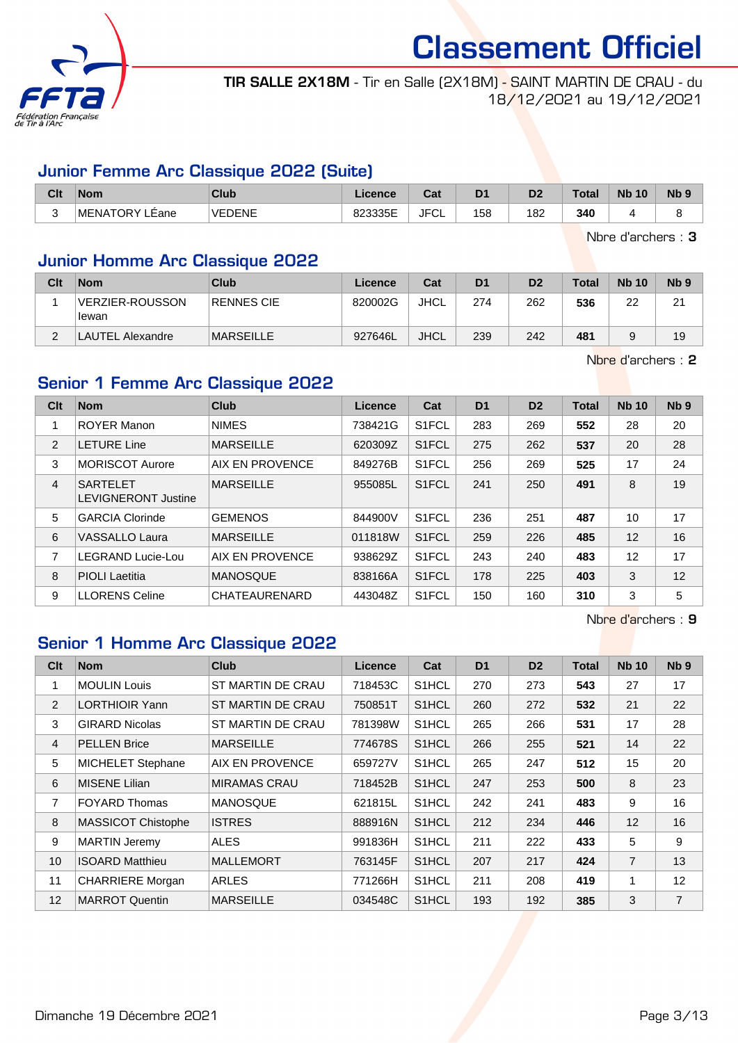

TIR SALLE 2X18M - Tir en Salle (2X18M) - SAINT MARTIN DE CRAU - du 18/12/2021 au 19/12/2021

#### Junior Femme Arc Classique 2022 (Suite)

| Clt    | <b>Nom</b>     | Club          | Licence | $\sim$<br>uai | D <sub>1</sub> | D <sub>0</sub><br>יש | Total | <b>N<sub>b</sub></b><br>10 | N <sub>b</sub> 9 |
|--------|----------------|---------------|---------|---------------|----------------|----------------------|-------|----------------------------|------------------|
| ∽<br>∼ | MENATORY LÉane | <b>VEDENE</b> | 823335E | JFC'<br>◡∟    | 158            | 182                  | 340   |                            |                  |

Nbre d'archers : 3

#### Junior Homme Arc Classique 2022

| Clt | <b>Nom</b>               | Club              | Licence | Cat         | D <sub>1</sub> | D <sub>2</sub> | <b>Total</b> | <b>Nb 10</b> | Nb <sub>9</sub> |
|-----|--------------------------|-------------------|---------|-------------|----------------|----------------|--------------|--------------|-----------------|
|     | VERZIER-ROUSSON<br>lewan | <b>RENNES CIE</b> | 820002G | JHCL        | 274            | 262            | 536          | 22           | 21              |
|     | LAUTEL Alexandre         | <b>MARSEILLE</b>  | 927646L | <b>JHCL</b> | 239            | 242            | 481          |              | 19              |

Nbre d'archers : 2

### Senior 1 Femme Arc Classique 2022

| Clt            | <b>Nom</b>                                    | Club             | <b>Licence</b> | Cat                | D <sub>1</sub> | D <sub>2</sub> | <b>Total</b> | <b>Nb 10</b> | Nb <sub>9</sub> |
|----------------|-----------------------------------------------|------------------|----------------|--------------------|----------------|----------------|--------------|--------------|-----------------|
| 1              | <b>ROYER Manon</b>                            | <b>NIMES</b>     | 738421G        | S <sub>1</sub> FCL | 283            | 269            | 552          | 28           | 20              |
| 2              | <b>LETURE Line</b>                            | <b>MARSEILLE</b> | 620309Z        | S <sub>1</sub> FCL | 275            | 262            | 537          | 20           | 28              |
| 3              | <b>MORISCOT Aurore</b>                        | AIX EN PROVENCE  | 849276B        | S <sub>1</sub> FCL | 256            | 269            | 525          | 17           | 24              |
| $\overline{4}$ | <b>SARTELET</b><br><b>LEVIGNERONT Justine</b> | <b>MARSEILLE</b> | 955085L        | S <sub>1</sub> FCL | 241            | 250            | 491          | 8            | 19              |
| 5              | <b>GARCIA Clorinde</b>                        | <b>GEMENOS</b>   | 844900V        | S <sub>1</sub> FCL | 236            | 251            | 487          | 10           | 17              |
| 6              | <b>VASSALLO Laura</b>                         | <b>MARSEILLE</b> | 011818W        | S <sub>1</sub> FCL | 259            | 226            | 485          | 12           | 16              |
| 7              | LEGRAND Lucie-Lou                             | AIX EN PROVENCE  | 938629Z        | S <sub>1</sub> FCL | 243            | 240            | 483          | 12           | 17              |
| 8              | <b>PIOLI</b> Laetitia                         | <b>MANOSQUE</b>  | 838166A        | S1FCL              | 178            | 225            | 403          | 3            | 12              |
| 9              | <b>LLORENS Celine</b>                         | CHATEAURENARD    | 443048Z        | S <sub>1</sub> FCL | 150            | 160            | 310          | 3            | 5               |

Nbre d'archers : 9

## Senior 1 Homme Arc Classique 2022

| Clt | <b>Nom</b>                | <b>Club</b>            | <b>Licence</b> | Cat                | D <sub>1</sub> | D <sub>2</sub> | <b>Total</b> | <b>Nb 10</b>   | Nb <sub>9</sub> |
|-----|---------------------------|------------------------|----------------|--------------------|----------------|----------------|--------------|----------------|-----------------|
| 1   | <b>MOULIN Louis</b>       | ST MARTIN DE CRAU      | 718453C        | S <sub>1</sub> HCL | 270            | 273            | 543          | 27             | 17              |
| 2   | <b>LORTHIOIR Yann</b>     | ST MARTIN DE CRAU      | 750851T        | S <sub>1</sub> HCL | 260            | 272            | 532          | 21             | 22              |
| 3   | <b>GIRARD Nicolas</b>     | ST MARTIN DE CRAU      | 781398W        | S1HCL              | 265            | 266            | 531          | 17             | 28              |
| 4   | <b>PELLEN Brice</b>       | <b>MARSEILLE</b>       | 774678S        | S1HCL              | 266            | 255            | 521          | 14             | 22              |
| 5   | <b>MICHELET Stephane</b>  | <b>AIX EN PROVENCE</b> | 659727V        | S1HCL              | 265            | 247            | 512          | 15             | 20              |
| 6   | <b>MISENE Lilian</b>      | <b>MIRAMAS CRAU</b>    | 718452B        | S <sub>1</sub> HCL | 247            | 253            | 500          | 8              | 23              |
| 7   | <b>FOYARD Thomas</b>      | <b>MANOSQUE</b>        | 621815L        | S <sub>1</sub> HCL | 242            | 241            | 483          | 9              | 16              |
| 8   | <b>MASSICOT Chistophe</b> | <b>ISTRES</b>          | 888916N        | S1HCL              | 212            | 234            | 446          | 12             | 16              |
| 9   | <b>MARTIN Jeremy</b>      | ALES                   | 991836H        | S1HCL              | 211            | 222            | 433          | 5              | 9               |
| 10  | <b>ISOARD Matthieu</b>    | <b>MALLEMORT</b>       | 763145F        | S1HCL              | 207            | 217            | 424          | $\overline{7}$ | 13              |
| 11  | <b>CHARRIERE</b> Morgan   | <b>ARLES</b>           | 771266H        | S <sub>1</sub> HCL | 211            | 208            | 419          | 1              | 12              |
| 12  | <b>MARROT Quentin</b>     | <b>MARSEILLE</b>       | 034548C        | S <sub>1</sub> HCL | 193            | 192            | 385          | 3              | $\overline{7}$  |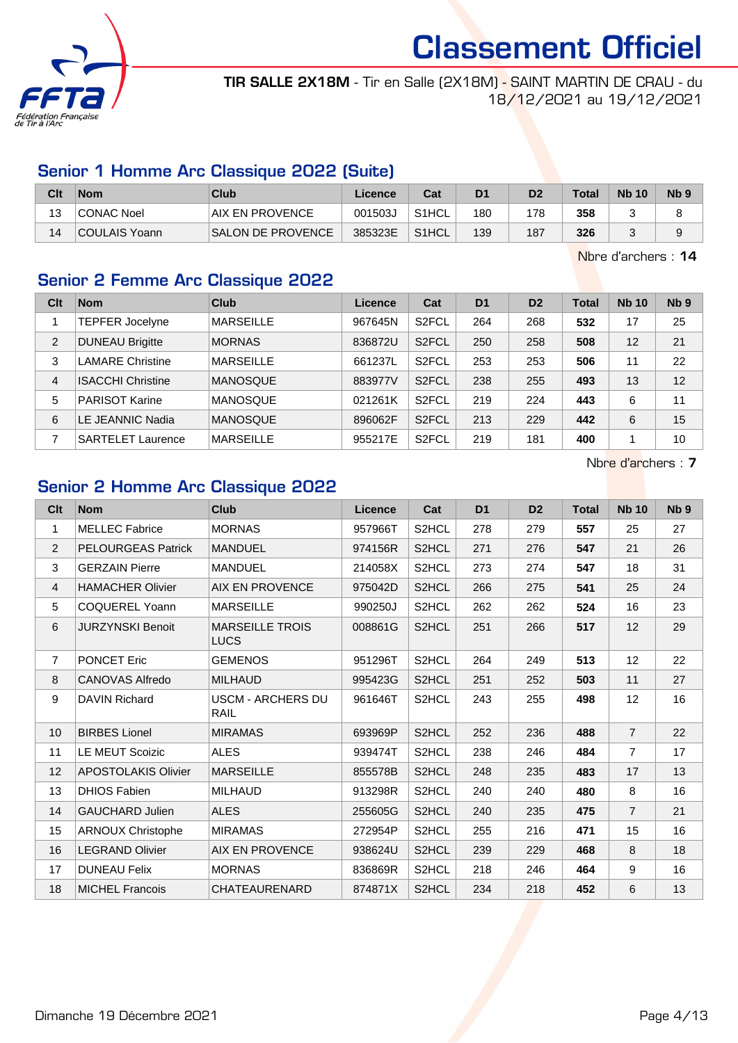

TIR SALLE 2X18M - Tir en Salle (2X18M) - SAINT MARTIN DE CRAU - du 18/12/2021 au 19/12/2021

#### Senior 1 Homme Arc Classique 2022 (Suite)

| Clt | <b>Nom</b>        | Club                     | Licence | Cat                | D <sub>1</sub> | D2  | <b>Total</b> | <b>Nb 10</b> | N <sub>b</sub> <sub>9</sub> |
|-----|-------------------|--------------------------|---------|--------------------|----------------|-----|--------------|--------------|-----------------------------|
| 13  | <b>CONAC Noel</b> | <b>AIX EN PROVENCE</b>   | 001503J | S1HCL              | 180            | 178 | 358          |              |                             |
| 14  | COULAIS Yoann     | <b>SALON DE PROVENCE</b> | 385323E | S <sub>1</sub> HCL | 139            | 187 | 326          |              |                             |

Nbre d'archers : 14

#### Senior 2 Femme Arc Classique 2022

| Clt | <b>Nom</b>               | Club             | <b>Licence</b> | Cat                | D <sub>1</sub> | D <sub>2</sub> | <b>Total</b> | <b>Nb 10</b> | N <sub>b</sub> <sub>9</sub> |
|-----|--------------------------|------------------|----------------|--------------------|----------------|----------------|--------------|--------------|-----------------------------|
|     | TEPFER Jocelyne          | <b>MARSEILLE</b> | 967645N        | S <sub>2</sub> FCL | 264            | 268            | 532          | 17           | 25                          |
| 2   | <b>DUNEAU Brigitte</b>   | <b>MORNAS</b>    | 836872U        | S <sub>2</sub> FCL | 250            | 258            | 508          | 12           | 21                          |
| 3   | <b>LAMARE Christine</b>  | <b>MARSEILLE</b> | 661237L        | S <sub>2</sub> FCL | 253            | 253            | 506          | 11           | 22                          |
| 4   | <b>ISACCHI Christine</b> | <b>MANOSQUE</b>  | 883977V        | S <sub>2</sub> FCL | 238            | 255            | 493          | 13           | 12                          |
| 5   | <b>PARISOT Karine</b>    | <b>MANOSQUE</b>  | 021261K        | S <sub>2</sub> FCL | 219            | 224            | 443          | 6            | 11                          |
| 6   | LE JEANNIC Nadia         | <b>MANOSQUE</b>  | 896062F        | S <sub>2</sub> FCL | 213            | 229            | 442          | 6            | 15                          |
|     | <b>SARTELET Laurence</b> | <b>MARSEILLE</b> | 955217E        | S <sub>2</sub> FCL | 219            | 181            | 400          | 1            | 10                          |

Nbre d'archers : 7

### Senior 2 Homme Arc Classique 2022

| Clt            | <b>Nom</b>                 | <b>Club</b>                      | Licence | Cat   | D <sub>1</sub> | D <sub>2</sub> | <b>Total</b> | <b>Nb 10</b>   | N <sub>b</sub> <sub>9</sub> |
|----------------|----------------------------|----------------------------------|---------|-------|----------------|----------------|--------------|----------------|-----------------------------|
| $\mathbf{1}$   | <b>MELLEC Fabrice</b>      | <b>MORNAS</b>                    | 957966T | S2HCL | 278            | 279            | 557          | 25             | 27                          |
| $\overline{2}$ | <b>PELOURGEAS Patrick</b>  | <b>MANDUEL</b>                   | 974156R | S2HCL | 271            | 276            | 547          | 21             | 26                          |
| 3              | <b>GERZAIN Pierre</b>      | <b>MANDUEL</b>                   | 214058X | S2HCL | 273            | 274            | 547          | 18             | 31                          |
| 4              | <b>HAMACHER Olivier</b>    | <b>AIX EN PROVENCE</b>           | 975042D | S2HCL | 266            | 275            | 541          | 25             | 24                          |
| 5              | <b>COQUEREL Yoann</b>      | <b>MARSEILLE</b>                 | 990250J | S2HCL | 262            | 262            | 524          | 16             | 23                          |
| $\,6\,$        | <b>JURZYNSKI Benoit</b>    | <b>MARSEILLE TROIS</b><br>LUCS   | 008861G | S2HCL | 251            | 266            | 517          | 12             | 29                          |
| $\overline{7}$ | <b>PONCET Eric</b>         | <b>GEMENOS</b>                   | 951296T | S2HCL | 264            | 249            | 513          | 12             | 22                          |
| $\,8\,$        | CANOVAS Alfredo            | <b>MILHAUD</b>                   | 995423G | S2HCL | 251            | 252            | 503          | 11             | 27                          |
| 9              | <b>DAVIN Richard</b>       | <b>USCM - ARCHERS DU</b><br>RAIL | 961646T | S2HCL | 243            | 255            | 498          | 12             | 16                          |
| 10             | <b>BIRBES Lionel</b>       | <b>MIRAMAS</b>                   | 693969P | S2HCL | 252            | 236            | 488          | $\overline{7}$ | 22                          |
| 11             | <b>LE MEUT Scoizic</b>     | <b>ALES</b>                      | 939474T | S2HCL | 238            | 246            | 484          | $\overline{7}$ | 17                          |
| 12             | <b>APOSTOLAKIS Olivier</b> | <b>MARSEILLE</b>                 | 855578B | S2HCL | 248            | 235            | 483          | 17             | 13                          |
| 13             | <b>DHIOS Fabien</b>        | <b>MILHAUD</b>                   | 913298R | S2HCL | 240            | 240            | 480          | 8              | 16                          |
| 14             | <b>GAUCHARD Julien</b>     | <b>ALES</b>                      | 255605G | S2HCL | 240            | 235            | 475          | $\overline{7}$ | 21                          |
| 15             | <b>ARNOUX Christophe</b>   | <b>MIRAMAS</b>                   | 272954P | S2HCL | 255            | 216            | 471          | 15             | 16                          |
| 16             | <b>LEGRAND Olivier</b>     | <b>AIX EN PROVENCE</b>           | 938624U | S2HCL | 239            | 229            | 468          | 8              | 18                          |
| 17             | <b>DUNEAU Felix</b>        | <b>MORNAS</b>                    | 836869R | S2HCL | 218            | 246            | 464          | 9              | 16                          |
| 18             | <b>MICHEL Francois</b>     | CHATEAURENARD                    | 874871X | S2HCL | 234            | 218            | 452          | 6              | 13                          |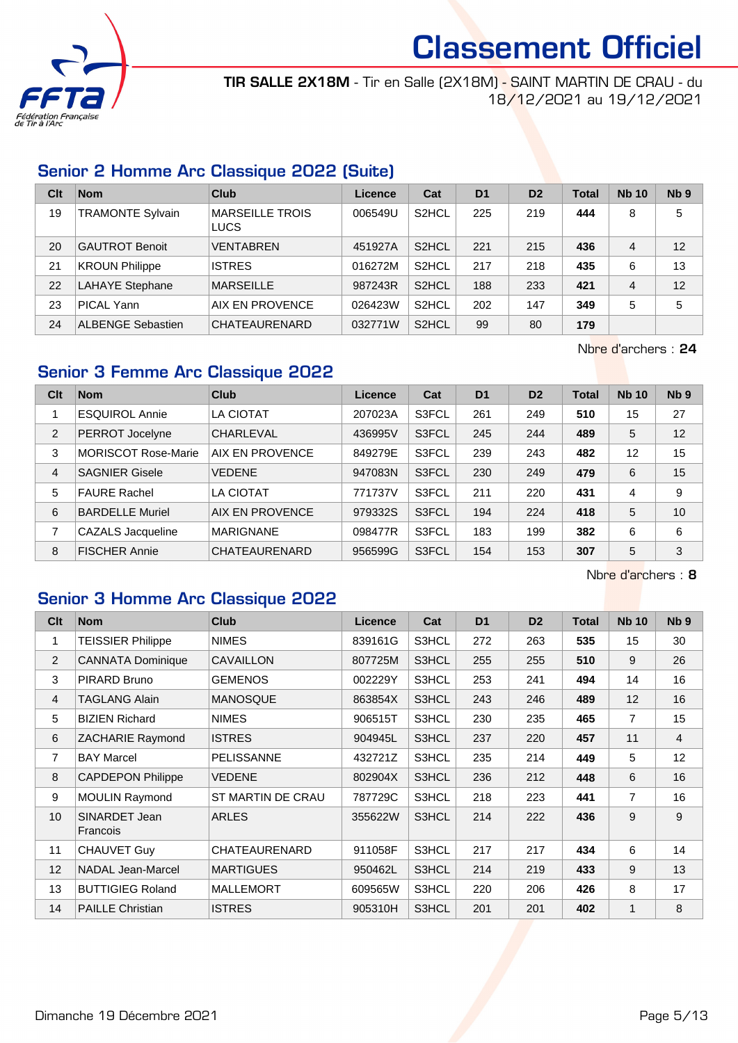

TIR SALLE 2X18M - Tir en Salle (2X18M) - SAINT MARTIN DE CRAU - du 18/12/2021 au 19/12/2021

#### Senior 2 Homme Arc Classique 2022 (Suite)

| Clt | <b>Nom</b>               | Club                                  | Licence | Cat                | D <sub>1</sub> | D <sub>2</sub> | <b>Total</b> | <b>Nb 10</b> | Nb <sub>9</sub> |
|-----|--------------------------|---------------------------------------|---------|--------------------|----------------|----------------|--------------|--------------|-----------------|
| 19  | <b>TRAMONTE Sylvain</b>  | <b>MARSEILLE TROIS</b><br><b>LUCS</b> | 006549U | S <sub>2</sub> HCL | 225            | 219            | 444          | 8            | 5               |
| 20  | <b>GAUTROT Benoit</b>    | <b>VENTABREN</b>                      | 451927A | S <sub>2</sub> HCL | 221            | 215            | 436          | 4            | 12              |
| 21  | <b>KROUN Philippe</b>    | <b>ISTRES</b>                         | 016272M | S <sub>2</sub> HCL | 217            | 218            | 435          | 6            | 13              |
| 22  | <b>LAHAYE Stephane</b>   | <b>MARSEILLE</b>                      | 987243R | S <sub>2</sub> HCL | 188            | 233            | 421          | 4            | 12              |
| 23  | <b>PICAL Yann</b>        | AIX EN PROVENCE                       | 026423W | S <sub>2</sub> HCL | 202            | 147            | 349          | 5            | 5               |
| 24  | <b>ALBENGE Sebastien</b> | CHATEAURENARD                         | 032771W | S <sub>2</sub> HCL | 99             | 80             | 179          |              |                 |

Nbre d'archers : 24

#### Senior 3 Femme Arc Classique 2022

| Clt | <b>Nom</b>                 | Club                 | <b>Licence</b> | Cat   | D <sub>1</sub> | D <sub>2</sub> | <b>Total</b> | <b>Nb 10</b> | Nb <sub>9</sub> |
|-----|----------------------------|----------------------|----------------|-------|----------------|----------------|--------------|--------------|-----------------|
|     | <b>ESQUIROL Annie</b>      | <b>LA CIOTAT</b>     | 207023A        | S3FCL | 261            | 249            | 510          | 15           | 27              |
| 2   | PERROT Jocelyne            | CHARLEVAL            | 436995V        | S3FCL | 245            | 244            | 489          | 5            | 12              |
| 3   | <b>MORISCOT Rose-Marie</b> | AIX EN PROVENCE      | 849279E        | S3FCL | 239            | 243            | 482          | 12           | 15              |
| 4   | <b>SAGNIER Gisele</b>      | <b>VEDENE</b>        | 947083N        | S3FCL | 230            | 249            | 479          | 6            | 15              |
| 5   | <b>FAURE Rachel</b>        | <b>LA CIOTAT</b>     | 771737V        | S3FCL | 211            | 220            | 431          | 4            | 9               |
| 6   | <b>BARDELLE Muriel</b>     | AIX EN PROVENCE      | 979332S        | S3FCL | 194            | 224            | 418          | 5            | 10              |
| 7   | CAZALS Jacqueline          | <b>MARIGNANE</b>     | 098477R        | S3FCL | 183            | 199            | 382          | 6            | 6               |
| 8   | <b>FISCHER Annie</b>       | <b>CHATEAURENARD</b> | 956599G        | S3FCL | 154            | 153            | 307          | 5            | 3               |

Nbre d'archers : 8

# Senior 3 Homme Arc Classique 2022

| Clt            | <b>Nom</b>                | <b>Club</b>       | <b>Licence</b> | Cat   | D <sub>1</sub> | D <sub>2</sub> | <b>Total</b> | <b>Nb 10</b>   | Nb <sub>9</sub> |
|----------------|---------------------------|-------------------|----------------|-------|----------------|----------------|--------------|----------------|-----------------|
| 1              | <b>TEISSIER Philippe</b>  | <b>NIMES</b>      | 839161G        | S3HCL | 272            | 263            | 535          | 15             | 30              |
| 2              | <b>CANNATA Dominique</b>  | <b>CAVAILLON</b>  | 807725M        | S3HCL | 255            | 255            | 510          | 9              | 26              |
| 3              | PIRARD Bruno              | <b>GEMENOS</b>    | 002229Y        | S3HCL | 253            | 241            | 494          | 14             | 16              |
| 4              | <b>TAGLANG Alain</b>      | <b>MANOSQUE</b>   | 863854X        | S3HCL | 243            | 246            | 489          | 12             | 16              |
| 5              | <b>BIZIEN Richard</b>     | <b>NIMES</b>      | 906515T        | S3HCL | 230            | 235            | 465          | $\overline{7}$ | 15              |
| 6              | ZACHARIE Raymond          | <b>ISTRES</b>     | 904945L        | S3HCL | 237            | 220            | 457          | 11             | 4               |
| $\overline{7}$ | <b>BAY Marcel</b>         | <b>PELISSANNE</b> | 432721Z        | S3HCL | 235            | 214            | 449          | 5              | 12              |
| 8              | <b>CAPDEPON Philippe</b>  | <b>VEDENE</b>     | 802904X        | S3HCL | 236            | 212            | 448          | 6              | 16              |
| 9              | <b>MOULIN Raymond</b>     | ST MARTIN DE CRAU | 787729C        | S3HCL | 218            | 223            | 441          | $\overline{7}$ | 16              |
| 10             | SINARDET Jean<br>Francois | <b>ARLES</b>      | 355622W        | S3HCL | 214            | 222            | 436          | 9              | 9               |
| 11             | <b>CHAUVET Guy</b>        | CHATEAURENARD     | 911058F        | S3HCL | 217            | 217            | 434          | 6              | 14              |
| 12             | NADAL Jean-Marcel         | <b>MARTIGUES</b>  | 950462L        | S3HCL | 214            | 219            | 433          | 9              | 13              |
| 13             | <b>BUTTIGIEG Roland</b>   | <b>MALLEMORT</b>  | 609565W        | S3HCL | 220            | 206            | 426          | 8              | 17              |
| 14             | <b>PAILLE Christian</b>   | <b>ISTRES</b>     | 905310H        | S3HCL | 201            | 201            | 402          | 1              | 8               |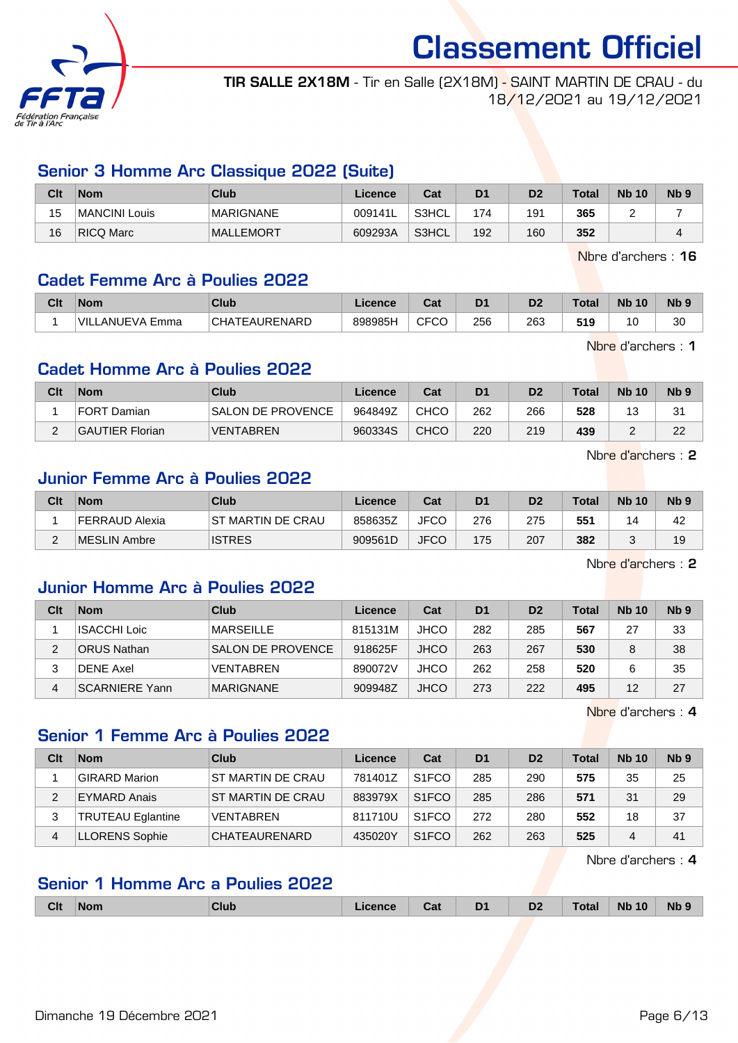

TIR SALLE 2X18M - Tir en Salle (2X18M) - SAINT MARTIN DE CRAU - du 18/12/2021 au 19/12/2021

#### Senior 3 Homme Arc Classique 2022 (Suite)

| Clt | <b>Nom</b>    | Club             | Licence | Cat   | D <sub>1</sub> | D <sub>2</sub> | <b>Total</b> | <b>Nb 10</b> | <b>N<sub>b</sub></b> |
|-----|---------------|------------------|---------|-------|----------------|----------------|--------------|--------------|----------------------|
| 15  | MANCINI Louis | MARIGNANE        | 009141L | S3HCL | 174            | 191            | 365          |              |                      |
| 16  | RICQ Marc     | <b>MALLEMORT</b> | 609293A | S3HCL | 192            | 160            | 352          |              |                      |

Nbre d'archers : 16

#### Cadet Femme Arc à Poulies 2022

| Clt | <b>Nom</b>                        | <b>Club</b>                                  | icence  | <b>Dol</b><br>⊍aι | D1  | D2  | Total | <b>Nb</b><br>10 | <b>N<sub>b</sub></b> |
|-----|-----------------------------------|----------------------------------------------|---------|-------------------|-----|-----|-------|-----------------|----------------------|
|     | 'VILL<br>∟ANUEVA ⊑<br><b>Emma</b> | CHA <sup>-</sup><br><b><i>FEAURENARD</i></b> | 898985H | CECC<br>ັບບ<br>◡┌ | 256 | 263 | 519   | 1 C<br>. U      | 30<br>◡              |

Nbre d'archers : 1

#### Cadet Homme Arc à Poulies 2022

| Clt | <b>Nom</b>             | Club                     | Licence | Cat  | D <sub>1</sub> | D <sub>2</sub> | <b>Total</b> | <b>Nb 10</b> | N <sub>b</sub> <sub>9</sub> |
|-----|------------------------|--------------------------|---------|------|----------------|----------------|--------------|--------------|-----------------------------|
|     | FORT Damian_           | <b>SALON DE PROVENCE</b> | 964849Z | CHCC | 262            | 266            | 528          | 13           | 31                          |
|     | <b>GAUTIER Florian</b> | <b>VENTABREN</b>         | 960334S | CHCO | 220            | 219            | 439          |              | 22                          |

Nbre d'archers : 2

#### Junior Femme Arc à Poulies 2022

| Clt         | <b>Nom</b>     | Club               | Licence | Cat         | D <sub>1</sub> | D2  | Total | <b>Nb 10</b> | N <sub>b</sub> <sub>9</sub> |
|-------------|----------------|--------------------|---------|-------------|----------------|-----|-------|--------------|-----------------------------|
|             | FERRAUD Alexia | IST MARTIN DE CRAU | 858635Z | <b>JFCC</b> | 276            | 275 | 551   |              | 42                          |
| $\sim$<br>- | MESLIN Ambre   | <b>ISTRES</b>      | 909561D | <b>JFCO</b> | 175            | 207 | 382   |              | 19                          |

Nbre d'archers : 2

#### Junior Homme Arc à Poulies 2022

| Clt | <b>Nom</b>            | Club                     | Licence | Cat         | D <sub>1</sub> | D <sub>2</sub> | <b>Total</b> | <b>Nb 10</b> | N <sub>b</sub> <sub>9</sub> |
|-----|-----------------------|--------------------------|---------|-------------|----------------|----------------|--------------|--------------|-----------------------------|
|     | <b>ISACCHI Loic</b>   | <b>MARSEILLE</b>         | 815131M | <b>JHCO</b> | 282            | 285            | 567          | 27           | 33                          |
|     | <b>ORUS Nathan</b>    | <b>SALON DE PROVENCE</b> | 918625F | <b>JHCO</b> | 263            | 267            | 530          |              | 38                          |
|     | DENE Axel             | <b>VENTABREN</b>         | 890072V | <b>JHCO</b> | 262            | 258            | 520          |              | 35                          |
| 4   | <b>SCARNIERE Yann</b> | <b>MARIGNANE</b>         | 909948Z | <b>JHCO</b> | 273            | 222            | 495          | 12           | 27                          |

Nbre d'archers : 4

#### Senior 1 Femme Arc à Poulies 2022

| Clt | <b>Nom</b>               | Club                     | Licence | Cat                | D <sub>1</sub> | D <sub>2</sub> | Total | <b>Nb 10</b> | N <sub>b</sub> <sub>9</sub> |
|-----|--------------------------|--------------------------|---------|--------------------|----------------|----------------|-------|--------------|-----------------------------|
|     | GIRARD Marion            | <b>ST MARTIN DE CRAU</b> | 781401Z | S <sub>1</sub> FCO | 285            | 290            | 575   | 35           | 25                          |
| າ   | EYMARD Anais             | <b>ST MARTIN DE CRAU</b> | 883979X | S <sub>1</sub> FCO | 285            | 286            | 571   | 31           | 29                          |
| 3   | <b>TRUTEAU Eglantine</b> | <b>VENTABREN</b>         | 811710U | S <sub>1</sub> FCO | 272            | 280            | 552   | 18           | 37                          |
| 4   | LLORENS Sophie           | CHATEAURENARD            | 435020Y | S <sub>1</sub> FCO | 262            | 263            | 525   |              | 41                          |

Nbre d'archers : 4

#### Senior 1 Homme Arc a Poulies 2022

|  | <b>Clt</b> | <b>Nom</b> | VluL |  | Jat | D <sub>1</sub><br>- - | $\mathbf{a}$<br>υZ | Гоtа | 10<br><b>N<sub>b</sub></b> | <b>Nb</b> |
|--|------------|------------|------|--|-----|-----------------------|--------------------|------|----------------------------|-----------|
|--|------------|------------|------|--|-----|-----------------------|--------------------|------|----------------------------|-----------|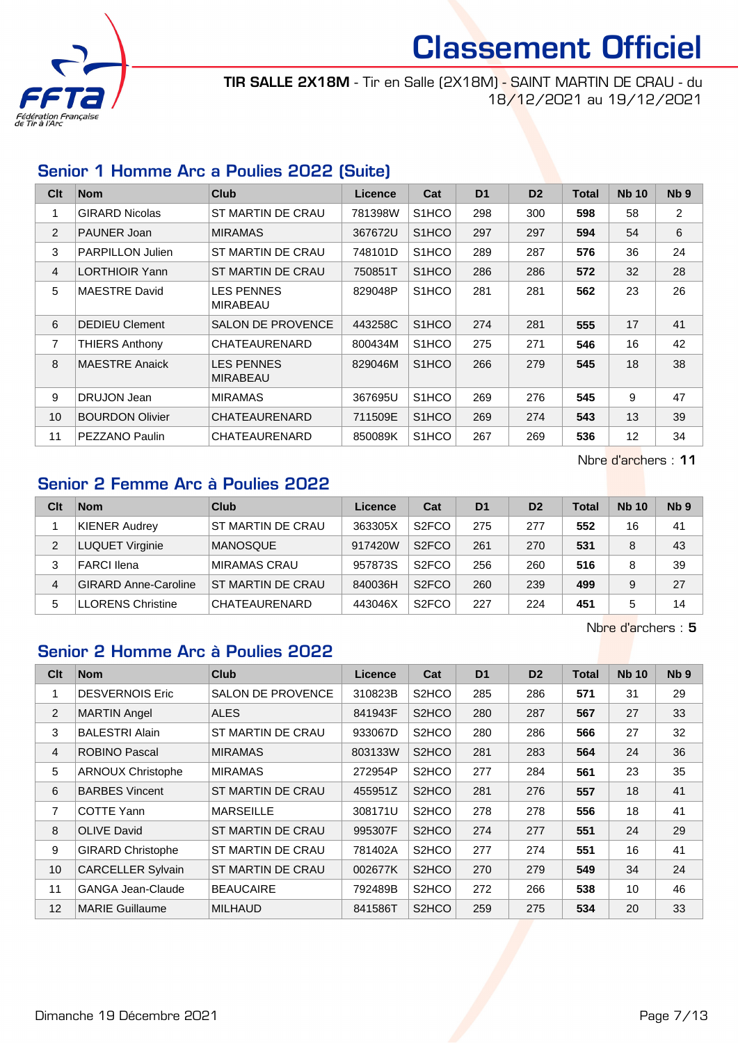

TIR SALLE 2X18M - Tir en Salle (2X18M) - SAINT MARTIN DE CRAU - du 18/12/2021 au 19/12/2021

## Senior 1 Homme Arc a Poulies 2022 (Suite)

| C <sub>lt</sub> | <b>Nom</b>              | Club                                 | Licence | Cat                | D <sub>1</sub> | D <sub>2</sub> | <b>Total</b> | <b>Nb 10</b>      | Nb <sub>9</sub> |
|-----------------|-------------------------|--------------------------------------|---------|--------------------|----------------|----------------|--------------|-------------------|-----------------|
| 1               | <b>GIRARD Nicolas</b>   | ST MARTIN DE CRAU                    | 781398W | S1HCO              | 298            | 300            | 598          | 58                | $\overline{2}$  |
| $\overline{2}$  | PAUNER Joan             | <b>MIRAMAS</b>                       | 367672U | S <sub>1</sub> HCO | 297            | 297            | 594          | 54                | 6               |
| 3               | <b>PARPILLON Julien</b> | ST MARTIN DE CRAU                    | 748101D | S <sub>1</sub> HCO | 289            | 287            | 576          | 36                | 24              |
| 4               | <b>LORTHIOIR Yann</b>   | ST MARTIN DE CRAU                    | 750851T | S <sub>1</sub> HCO | 286            | 286            | 572          | 32                | 28              |
| 5               | <b>MAESTRE David</b>    | <b>LES PENNES</b><br>MIRABEAU        | 829048P | S <sub>1</sub> HCO | 281            | 281            | 562          | 23                | 26              |
| 6               | <b>DEDIEU Clement</b>   | <b>SALON DE PROVENCE</b>             | 443258C | S <sub>1</sub> HCO | 274            | 281            | 555          | 17                | 41              |
| $\overline{7}$  | <b>THIERS Anthony</b>   | CHATEAURENARD                        | 800434M | S <sub>1</sub> HCO | 275            | 271            | 546          | 16                | 42              |
| 8               | <b>MAESTRE Anaick</b>   | <b>LES PENNES</b><br><b>MIRABEAU</b> | 829046M | S <sub>1</sub> HCO | 266            | 279            | 545          | 18                | 38              |
| 9               | DRUJON Jean             | <b>MIRAMAS</b>                       | 367695U | S <sub>1</sub> HCO | 269            | 276            | 545          | 9                 | 47              |
| 10 <sup>1</sup> | <b>BOURDON Olivier</b>  | CHATEAURENARD                        | 711509E | S <sub>1</sub> HCO | 269            | 274            | 543          | 13                | 39              |
| 11              | PEZZANO Paulin          | CHATEAURENARD                        | 850089K | S <sub>1</sub> HCO | 267            | 269            | 536          | $12 \overline{ }$ | 34              |

Nbre d'archers : 11

# Senior 2 Femme Arc à Poulies 2022

| Clt | <b>Nom</b>                  | Club               | Licence | Cat                | D <sub>1</sub> | D <sub>2</sub> | <b>Total</b> | <b>Nb 10</b> | Nb <sub>9</sub> |
|-----|-----------------------------|--------------------|---------|--------------------|----------------|----------------|--------------|--------------|-----------------|
|     | <b>KIENER Audrey</b>        | 'ST MARTIN DE CRAU | 363305X | S <sub>2</sub> FCO | 275            | 277            | 552          | 16           | 41              |
| 2   | <b>LUQUET Virginie</b>      | <b>MANOSQUE</b>    | 917420W | S <sub>2</sub> FCO | 261            | 270            | 531          | 8            | 43              |
| 3   | <b>FARCI llena</b>          | MIRAMAS CRAU       | 957873S | S <sub>2</sub> FCO | 256            | 260            | 516          | 8            | 39              |
| 4   | <b>GIRARD Anne-Caroline</b> | ST MARTIN DE CRAU  | 840036H | S <sub>2</sub> FCO | 260            | 239            | 499          | 9            | 27              |
| 5   | LLORENS Christine           | CHATEAURENARD      | 443046X | S <sub>2</sub> FCO | 227            | 224            | 451          | 5            | 14              |

Nbre d'archers : 5

#### Senior 2 Homme Arc à Poulies 2022

| Clt            | <b>Nom</b>               | <b>Club</b>              | <b>Licence</b> | Cat                | D <sub>1</sub> | D <sub>2</sub> | Total | <b>Nb 10</b> | Nb <sub>9</sub> |
|----------------|--------------------------|--------------------------|----------------|--------------------|----------------|----------------|-------|--------------|-----------------|
| 1              | <b>DESVERNOIS Eric</b>   | <b>SALON DE PROVENCE</b> | 310823B        | S <sub>2</sub> HCO | 285            | 286            | 571   | 31           | 29              |
| 2              | <b>MARTIN Angel</b>      | <b>ALES</b>              | 841943F        | S <sub>2</sub> HCO | 280            | 287            | 567   | 27           | 33              |
| 3              | <b>BALESTRI Alain</b>    | <b>ST MARTIN DE CRAU</b> | 933067D        | S <sub>2</sub> HCO | 280            | 286            | 566   | 27           | 32              |
| $\overline{4}$ | <b>ROBINO Pascal</b>     | <b>MIRAMAS</b>           | 803133W        | S <sub>2</sub> HCO | 281            | 283            | 564   | 24           | 36              |
| 5              | <b>ARNOUX Christophe</b> | <b>MIRAMAS</b>           | 272954P        | S <sub>2</sub> HCO | 277            | 284            | 561   | 23           | 35              |
| 6              | <b>BARBES Vincent</b>    | ST MARTIN DE CRAU        | 455951Z        | S <sub>2</sub> HCO | 281            | 276            | 557   | 18           | 41              |
| 7              | <b>COTTE Yann</b>        | <b>MARSEILLE</b>         | 308171U        | S <sub>2</sub> HCO | 278            | 278            | 556   | 18           | 41              |
| 8              | <b>OLIVE David</b>       | ST MARTIN DE CRAU        | 995307F        | S <sub>2</sub> HCO | 274            | 277            | 551   | 24           | 29              |
| 9              | <b>GIRARD Christophe</b> | ST MARTIN DE CRAU        | 781402A        | S <sub>2</sub> HCO | 277            | 274            | 551   | 16           | 41              |
| 10             | <b>CARCELLER Sylvain</b> | ST MARTIN DE CRAU        | 002677K        | S <sub>2</sub> HCO | 270            | 279            | 549   | 34           | 24              |
| 11             | <b>GANGA Jean-Claude</b> | <b>BEAUCAIRE</b>         | 792489B        | S <sub>2</sub> HCO | 272            | 266            | 538   | 10           | 46              |
| 12             | <b>MARIE Guillaume</b>   | <b>MILHAUD</b>           | 841586T        | S <sub>2</sub> HCO | 259            | 275            | 534   | 20           | 33              |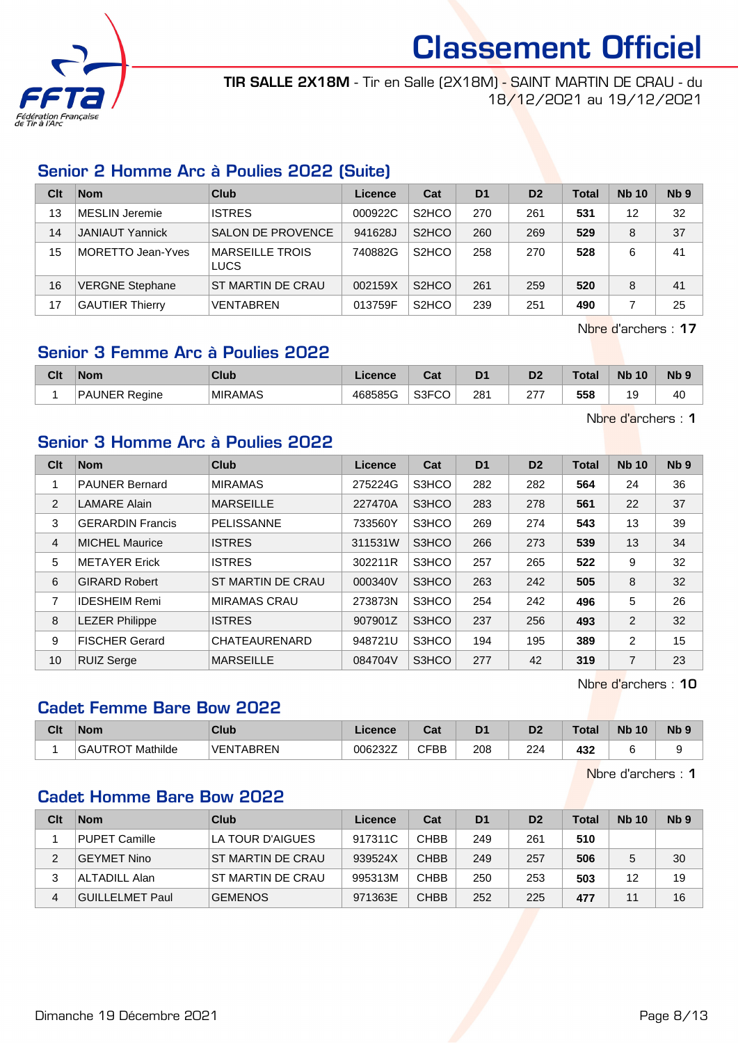

TIR SALLE 2X18M - Tir en Salle (2X18M) - SAINT MARTIN DE CRAU - du 18/12/2021 au 19/12/2021

#### Senior 2 Homme Arc à Poulies 2022 (Suite)

| Clt | <b>Nom</b>             | Club                                  | Licence | Cat                            | D <sub>1</sub> | D <sub>2</sub> | Total | <b>Nb 10</b> | N <sub>b</sub> <sub>9</sub> |
|-----|------------------------|---------------------------------------|---------|--------------------------------|----------------|----------------|-------|--------------|-----------------------------|
| 13  | MESLIN Jeremie         | <b>ISTRES</b>                         | 000922C | S <sub>2</sub> H <sub>CO</sub> | 270            | 261            | 531   | 12           | 32                          |
| 14  | <b>JANIAUT Yannick</b> | <b>SALON DE PROVENCE</b>              | 941628J | S <sub>2</sub> HCO             | 260            | 269            | 529   | 8            | 37                          |
| 15  | MORETTO Jean-Yves      | <b>MARSEILLE TROIS</b><br><b>LUCS</b> | 740882G | S <sub>2</sub> H <sub>CO</sub> | 258            | 270            | 528   | 6            | 41                          |
| 16  | <b>VERGNE Stephane</b> | <b>ST MARTIN DE CRAU</b>              | 002159X | S <sub>2</sub> HCO             | 261            | 259            | 520   | 8            | 41                          |
| 17  | <b>GAUTIER Thierry</b> | <b>VENTABREN</b>                      | 013759F | S <sub>2</sub> HCO             | 239            | 251            | 490   |              | 25                          |

Nbre d'archers : 17

#### Senior 3 Femme Arc à Poulies 2022

| Clt | <b>Nom</b>           | Club           | Licence | $R_{\rm{min}}$<br>uai | D <sub>1</sub> | D <sub>2</sub>    | <b>Total</b> | <b>N<sub>b</sub></b><br>10 | Nb ! |
|-----|----------------------|----------------|---------|-----------------------|----------------|-------------------|--------------|----------------------------|------|
|     | AUNER Reaine?<br>DAI | <b>MIRAMAS</b> | 468585G | $\sim$<br>ు౩౯         | 281            | 277<br>$\epsilon$ | 558          |                            | 40   |

Nbre d'archers : 1

#### Senior 3 Homme Arc à Poulies 2022

| Clt            | <b>Nom</b>              | <b>Club</b>              | Licence | Cat   | D <sub>1</sub> | D <sub>2</sub> | <b>Total</b> | <b>Nb 10</b>   | Nb <sub>9</sub> |
|----------------|-------------------------|--------------------------|---------|-------|----------------|----------------|--------------|----------------|-----------------|
| 1              | <b>PAUNER Bernard</b>   | <b>MIRAMAS</b>           | 275224G | S3HCO | 282            | 282            | 564          | 24             | 36              |
| 2              | <b>LAMARE Alain</b>     | <b>MARSEILLE</b>         | 227470A | S3HCO | 283            | 278            | 561          | 22             | 37              |
| 3              | <b>GERARDIN Francis</b> | <b>PELISSANNE</b>        | 733560Y | S3HCO | 269            | 274            | 543          | 13             | 39              |
| $\overline{4}$ | <b>MICHEL Maurice</b>   | <b>ISTRES</b>            | 311531W | S3HCO | 266            | 273            | 539          | 13             | 34              |
| 5              | <b>METAYER Erick</b>    | <b>ISTRES</b>            | 302211R | S3HCO | 257            | 265            | 522          | 9              | 32              |
| 6              | <b>GIRARD Robert</b>    | <b>ST MARTIN DE CRAU</b> | 000340V | S3HCO | 263            | 242            | 505          | 8              | 32              |
| 7              | <b>IDESHEIM Remi</b>    | <b>MIRAMAS CRAU</b>      | 273873N | S3HCO | 254            | 242            | 496          | 5              | 26              |
| 8              | <b>LEZER Philippe</b>   | <b>ISTRES</b>            | 907901Z | S3HCO | 237            | 256            | 493          | 2              | 32              |
| 9              | <b>FISCHER Gerard</b>   | CHATEAURENARD            | 948721U | S3HCO | 194            | 195            | 389          | 2              | 15              |
| 10             | <b>RUIZ Serge</b>       | <b>MARSEILLE</b>         | 084704V | S3HCO | 277            | 42             | 319          | $\overline{7}$ | 23              |

Nbre d'archers : 10

#### Cadet Femme Bare Bow 2022

| Clt | Nom                     | <b>Club</b>      | Licence | <b>DAL</b><br>⊍a | D <sub>1</sub> | D <sub>2</sub> | Tota | <b>N<sub>b</sub></b><br>10 | N <sub>b</sub> |
|-----|-------------------------|------------------|---------|------------------|----------------|----------------|------|----------------------------|----------------|
|     | <b>GAUTROT Mathilde</b> | <b>VENTABREN</b> | 006232Z | CFBB             | 208            | 224            | 432  |                            |                |

Nbre d'archers : 1

#### Cadet Homme Bare Bow 2022

| Clt | <b>Nom</b>      | Club                     | Licence | Cat         | D <sub>1</sub> | D <sub>2</sub> | <b>Total</b> | <b>Nb 10</b> | Nb <sub>9</sub> |
|-----|-----------------|--------------------------|---------|-------------|----------------|----------------|--------------|--------------|-----------------|
|     | PUPET Camille   | LA TOUR D'AIGUES         | 917311C | <b>CHBB</b> | 249            | 261            | 510          |              |                 |
| 2   | GEYMET Nino     | <b>ST MARTIN DE CRAU</b> | 939524X | <b>CHBB</b> | 249            | 257            | 506          | 5            | 30              |
| 3   | ALTADILL Alan   | ST MARTIN DE CRAU        | 995313M | <b>CHBB</b> | 250            | 253            | 503          | 12           | 19              |
| 4   | GUILLELMET Paul | <b>GEMENOS</b>           | 971363E | <b>CHBB</b> | 252            | 225            | 477          |              | 16              |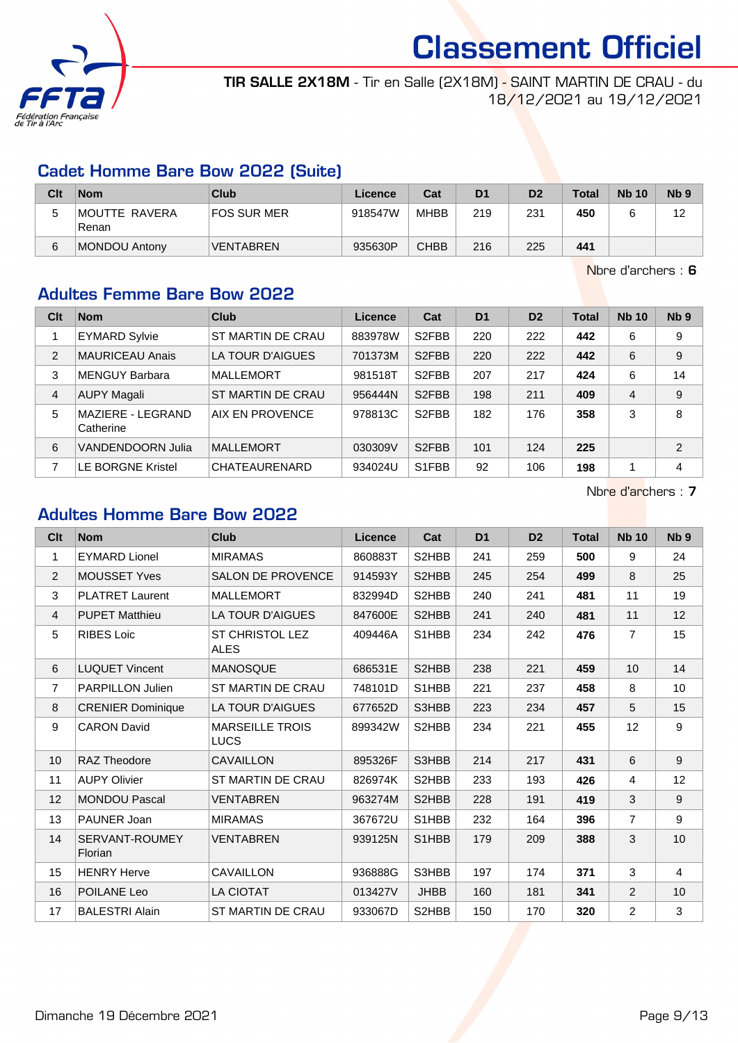

TIR SALLE 2X18M - Tir en Salle (2X18M) - SAINT MARTIN DE CRAU - du 18/12/2021 au 19/12/2021

#### Cadet Homme Bare Bow 2022 (Suite)

| Clt | <b>Nom</b>             | Club             | Licence | Cat         | D <sub>1</sub> | D <sub>2</sub> | <b>Total</b> | <b>Nb 10</b> | N <sub>b</sub> <sub>9</sub> |
|-----|------------------------|------------------|---------|-------------|----------------|----------------|--------------|--------------|-----------------------------|
| ບ   | MOUTTE RAVERA<br>Renan | FOS SUR MER      | 918547W | MHBB        | 219            | 231            | 450          |              | 12                          |
| 6   | <b>MONDOU Antony</b>   | <b>VENTABREN</b> | 935630P | <b>CHBB</b> | 216            | 225            | 441          |              |                             |

Nbre d'archers : 6

### Adultes Femme Bare Bow 2022

| Clt | <b>Nom</b>                     | Club              | Licence | Cat                | D <sub>1</sub> | D <sub>2</sub> | <b>Total</b> | <b>Nb 10</b> | Nb <sub>9</sub> |
|-----|--------------------------------|-------------------|---------|--------------------|----------------|----------------|--------------|--------------|-----------------|
|     | <b>EYMARD Sylvie</b>           | ST MARTIN DE CRAU | 883978W | S <sub>2</sub> FBB | 220            | 222            | 442          | 6            | 9               |
| 2   | <b>MAURICEAU Anais</b>         | LA TOUR D'AIGUES  | 701373M | S <sub>2</sub> FBB | 220            | 222            | 442          | 6            | 9               |
| 3   | MENGUY Barbara                 | <b>MALLEMORT</b>  | 981518T | S <sub>2</sub> FBB | 207            | 217            | 424          | 6            | 14              |
| 4   | <b>AUPY Magali</b>             | ST MARTIN DE CRAU | 956444N | S <sub>2</sub> FBB | 198            | 211            | 409          | 4            | 9               |
| 5   | MAZIERE - LEGRAND<br>Catherine | AIX EN PROVENCE   | 978813C | S <sub>2</sub> FBB | 182            | 176            | 358          | 3            | 8               |
| 6   | VANDENDOORN Julia              | <b>MALLEMORT</b>  | 030309V | S <sub>2</sub> FBB | 101            | 124            | 225          |              | 2               |
| 7   | <b>LE BORGNE Kristel</b>       | CHATEAURENARD     | 934024U | S1FBB              | 92             | 106            | 198          |              | 4               |

Nbre d'archers : 7

# Adultes Homme Bare Bow 2022

| Clt            | <b>Nom</b>                | Club                                  | Licence | Cat         | D <sub>1</sub> | D <sub>2</sub> | <b>Total</b> | <b>Nb 10</b>   | N <sub>b</sub> <sub>9</sub> |
|----------------|---------------------------|---------------------------------------|---------|-------------|----------------|----------------|--------------|----------------|-----------------------------|
| 1              | <b>EYMARD Lionel</b>      | <b>MIRAMAS</b>                        | 860883T | S2HBB       | 241            | 259            | 500          | 9              | 24                          |
| 2              | <b>MOUSSET Yves</b>       | SALON DE PROVENCE                     | 914593Y | S2HBB       | 245            | 254            | 499          | 8              | 25                          |
| 3              | <b>PLATRET Laurent</b>    | <b>MALLEMORT</b>                      | 832994D | S2HBB       | 240            | 241            | 481          | 11             | 19                          |
| $\overline{4}$ | <b>PUPET Matthieu</b>     | <b>LA TOUR D'AIGUES</b>               | 847600E | S2HBB       | 241            | 240            | 481          | 11             | 12                          |
| 5              | <b>RIBES Loic</b>         | ST CHRISTOL LEZ<br><b>ALES</b>        | 409446A | S1HBB       | 234            | 242            | 476          | $\overline{7}$ | 15                          |
| 6              | <b>LUQUET Vincent</b>     | <b>MANOSQUE</b>                       | 686531E | S2HBB       | 238            | 221            | 459          | 10             | 14                          |
| $\overline{7}$ | <b>PARPILLON Julien</b>   | ST MARTIN DE CRAU                     | 748101D | S1HBB       | 221            | 237            | 458          | 8              | 10                          |
| 8              | <b>CRENIER Dominique</b>  | LA TOUR D'AIGUES                      | 677652D | S3HBB       | 223            | 234            | 457          | 5              | 15                          |
| 9              | <b>CARON David</b>        | <b>MARSEILLE TROIS</b><br><b>LUCS</b> | 899342W | S2HBB       | 234            | 221            | 455          | 12             | 9                           |
| 10             | <b>RAZ Theodore</b>       | CAVAILLON                             | 895326F | S3HBB       | 214            | 217            | 431          | 6              | 9                           |
| 11             | <b>AUPY Olivier</b>       | <b>ST MARTIN DE CRAU</b>              | 826974K | S2HBB       | 233            | 193            | 426          | $\overline{4}$ | 12                          |
| 12             | <b>MONDOU Pascal</b>      | <b>VENTABREN</b>                      | 963274M | S2HBB       | 228            | 191            | 419          | 3              | 9                           |
| 13             | PAUNER Joan               | <b>MIRAMAS</b>                        | 367672U | S1HBB       | 232            | 164            | 396          | $\overline{7}$ | 9                           |
| 14             | SERVANT-ROUMEY<br>Florian | <b>VENTABREN</b>                      | 939125N | S1HBB       | 179            | 209            | 388          | 3              | 10                          |
| 15             | <b>HENRY Herve</b>        | <b>CAVAILLON</b>                      | 936888G | S3HBB       | 197            | 174            | 371          | 3              | $\overline{4}$              |
| 16             | POILANE Leo               | LA CIOTAT                             | 013427V | <b>JHBB</b> | 160            | 181            | 341          | 2              | 10                          |
| 17             | <b>BALESTRI Alain</b>     | ST MARTIN DE CRAU                     | 933067D | S2HBB       | 150            | 170            | 320          | $\overline{2}$ | 3                           |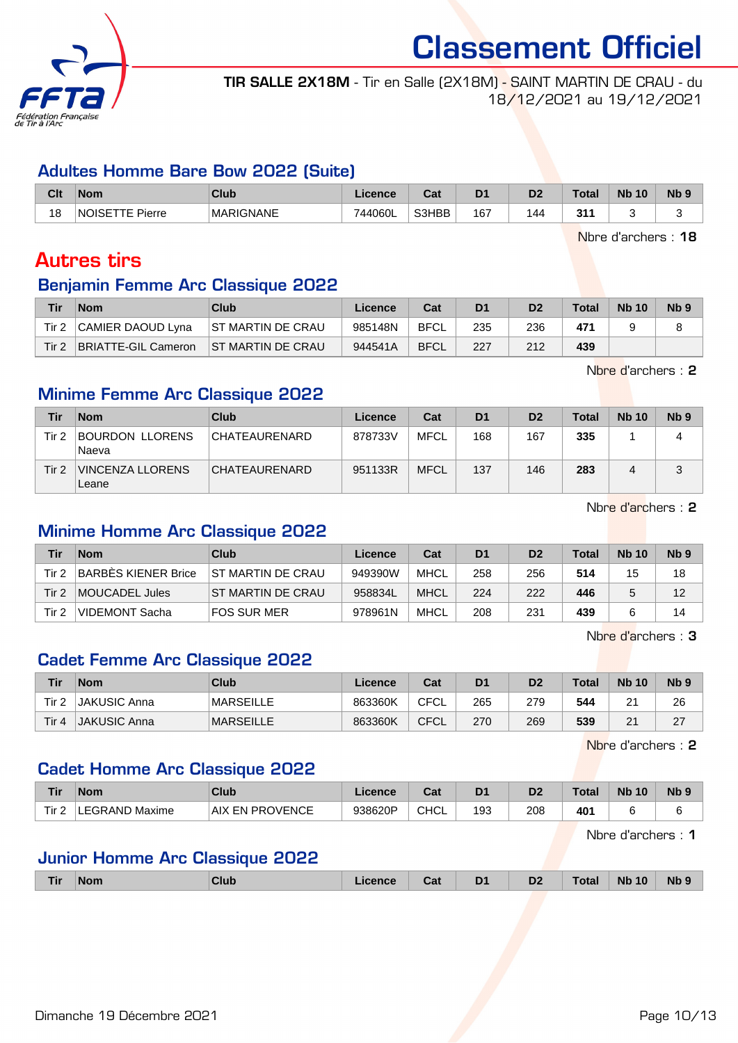

Classement Officiel TIR SALLE 2X18M - Tir en Salle (2X18M) - SAINT MARTIN DE CRAU - du

18/12/2021 au 19/12/2021

#### Adultes Homme Bare Bow 2022 (Suite)

| Clt | <b>Nom</b>             | <b>Club</b>      | Licence                                | <b>Dol</b><br>uai | D <sub>1</sub> | D <sub>2</sub> | Total | <b>Nb</b><br>10 | N <sub>b</sub> <sub>9</sub> |
|-----|------------------------|------------------|----------------------------------------|-------------------|----------------|----------------|-------|-----------------|-----------------------------|
| 18  | <b>NOISETTE Pierre</b> | <b>MARIGNANE</b> | 744060L<br>$\rightarrow$ $\rightarrow$ | S3HBB             | 167            | 4 <sup>′</sup> | 21'   |                 |                             |

Nbre d'archers : 18

# Autres tirs

# Benjamin Femme Arc Classique 2022

| Tir   | <b>Nom</b>          | Club                     | Licence | Cat         | D <sub>1</sub> |     | <b>Total</b> | <b>Nb 10</b> | Nb <sub>9</sub> |
|-------|---------------------|--------------------------|---------|-------------|----------------|-----|--------------|--------------|-----------------|
| Tir 2 | CAMIER DAOUD Lyna   | <b>ST MARTIN DE CRAU</b> | 985148N | <b>BFCL</b> | 235            | 236 | 471          |              |                 |
| Tir 2 | BRIATTE-GIL Cameron | <b>ST MARTIN DE CRAU</b> | 944541A | <b>BFCL</b> | 227            | 212 | 439          |              |                 |

Nbre d'archers : 2

#### Minime Femme Arc Classique 2022

| Tir   | <b>Nom</b>                | Club                 | Licence | Cat         | D <sub>1</sub> | D <sub>2</sub> | Total | <b>Nb 10</b> | Nb <sub>9</sub> |
|-------|---------------------------|----------------------|---------|-------------|----------------|----------------|-------|--------------|-----------------|
| Tir 2 | BOURDON LLORENS<br>Naeva  | CHATEAURENARD        | 878733V | <b>MFCL</b> | 168            | 167            | 335   |              | 4               |
| Tir 2 | VINCENZA LLORENS<br>Leane | <b>CHATEAURENARD</b> | 951133R | <b>MFCL</b> | 137            | 146            | 283   |              |                 |

Nbre d'archers : 2

#### Minime Homme Arc Classique 2022

| Tir   | <b>Nom</b>          | Club               | Licence | Cat         | D <sub>1</sub> | D <sub>2</sub> | <b>Total</b> | <b>Nb 10</b> | Nb <sub>9</sub> |
|-------|---------------------|--------------------|---------|-------------|----------------|----------------|--------------|--------------|-----------------|
| Tir 2 | BARBES KIENER Brice | IST MARTIN DE CRAU | 949390W | <b>MHCL</b> | 258            | 256            | 514          | 15           | 18              |
| Tir 2 | MOUCADEL Jules      | IST MARTIN DE CRAU | 958834L | MHCL        | 224            | 222            | 446          |              | 12              |
| Tir 2 | VIDEMONT Sacha      | FOS SUR MER        | 978961N | MHCL        | 208            | 231            | 439          |              | 14              |

Nbre d'archers : 3

#### Cadet Femme Arc Classique 2022

| Tir     | Nom                 | Club             | Licence | Cat         | D <sub>1</sub> | D2  | <b>Total</b> | <b>Nb 10</b>  | Nb <sub>5</sub> |
|---------|---------------------|------------------|---------|-------------|----------------|-----|--------------|---------------|-----------------|
| Tir 2   | ∣JAKUSIC Anna       | <b>MARSEILLE</b> | 863360K | <b>CFCL</b> | 265            | 279 | 544          | ົ<br><u>_</u> | 26              |
| Tir $4$ | <b>JAKUSIC Anna</b> | <b>MARSEILLE</b> | 863360K | CFCL        | 270            | 269 | 539          | n,<br>∠       | 27              |

Nbre d'archers : 2

#### Cadet Homme Arc Classique 2022

| <b>Tir</b>                                | <b>Nom</b>       | Club                          | Licence | $\sim$<br>uau | D <sub>1</sub> | D2  | Total           | <b>Nb</b><br>10 | Nb |
|-------------------------------------------|------------------|-------------------------------|---------|---------------|----------------|-----|-----------------|-----------------|----|
| $-$<br>$\overline{\phantom{a}}$<br>l ir 2 | EGRAND<br>Maxime | <b>PROVENCE</b><br>AIX<br>FN. | 938620P | <b>CHCL</b>   | 193            | 208 | 40 <sup>7</sup> |                 |    |

Nbre d'archers : 1

#### Junior Homme Arc Classique 2022

|  | Tir<br><b>Nom</b> | Club | icence | اat | D <sub>1</sub><br>- | D <sub>2</sub> | <b>Total</b> | <b>N<sub>b</sub></b><br>10 | Nb 9 |
|--|-------------------|------|--------|-----|---------------------|----------------|--------------|----------------------------|------|
|--|-------------------|------|--------|-----|---------------------|----------------|--------------|----------------------------|------|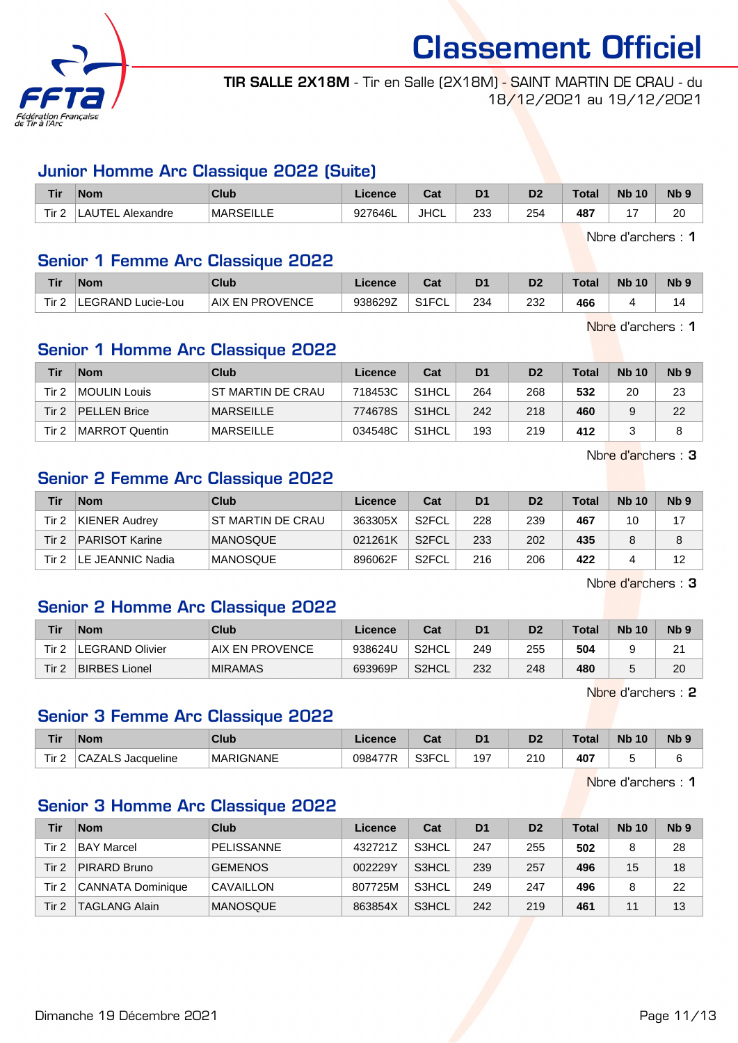

TIR SALLE 2X18M - Tir en Salle (2X18M) - SAINT MARTIN DE CRAU - du 18/12/2021 au 19/12/2021

#### Junior Homme Arc Classique 2022 (Suite)

| <b>Tir</b> | <b>Nom</b>                  | Club              | Licence | <b>Doll</b><br>uai | D <sub>1</sub> | D <sub>o</sub><br>ש | Tota. | <b>N<sub>b</sub></b><br>10 | N <sub>b</sub> <sub>9</sub> |
|------------|-----------------------------|-------------------|---------|--------------------|----------------|---------------------|-------|----------------------------|-----------------------------|
| Tir.       | TEL ,<br>. Alexandre<br>.AU | <b>IMARSEILLE</b> | 927646L | <b>JHCL</b>        | 233            | 254                 | 487   |                            | 20                          |

Nbre d'archers : 1

#### Senior 1 Femme Arc Classique 2022

| <b>Tir</b> | <b>Nom</b>             | Club            | .icence | הי<br>val | D <sub>1</sub> | D2  | Total | <b>Nb 10</b> | Nb <sub>5</sub> |
|------------|------------------------|-----------------|---------|-----------|----------------|-----|-------|--------------|-----------------|
| Tir.       | LEGRAND '<br>Lucie-Lou | AIX EN PROVENCE | 938629Z | S1FCL     | 234            | 232 | 466   |              |                 |

Nbre d'archers : 1

#### Senior 1 Homme Arc Classique 2022

| Tir   | <b>Nom</b>          | Club                     | Licence | Cat                | D <sub>1</sub> | D <sub>2</sub> | <b>Total</b> | <b>Nb 10</b> | N <sub>b</sub> <sub>9</sub> |
|-------|---------------------|--------------------------|---------|--------------------|----------------|----------------|--------------|--------------|-----------------------------|
| Tir 2 | MOULIN Louis        | <b>ST MARTIN DE CRAU</b> | 718453C | S <sub>1</sub> HCL | 264            | 268            | 532          | 20           | 23                          |
| Tir 2 | <b>PELLEN Brice</b> | <b>MARSEILLE</b>         | 774678S | S <sub>1</sub> HCL | 242            | 218            | 460          |              | 22                          |
| Tir 2 | MARROT Quentin      | <b>MARSEILLE</b>         | 034548C | S <sub>1</sub> HCL | 193            | 219            | 412          |              | 8                           |

Nbre d'archers : 3

#### Senior 2 Femme Arc Classique 2022

| Tir   | <b>Nom</b>            | Club               | Licence | Cat                | D1  | D <sub>2</sub> | <b>Total</b> | <b>Nb 10</b> | N <sub>b</sub> <sub>9</sub> |
|-------|-----------------------|--------------------|---------|--------------------|-----|----------------|--------------|--------------|-----------------------------|
| Tir 2 | KIENER Audrey         | IST MARTIN DE CRAU | 363305X | S2FCL              | 228 | 239            | 467          | 10           | 17                          |
| Tir 2 | <b>PARISOT Karine</b> | <b>IMANOSQUE</b>   | 021261K | S2FCL              | 233 | 202            | 435          |              | 8                           |
| Tir 2 | LE JEANNIC Nadia      | <b>IMANOSQUE</b>   | 896062F | S <sub>2</sub> FCL | 216 | 206            | 422          |              | 12                          |

Nbre d'archers : 3

#### Senior 2 Homme Arc Classique 2022

| Tir | <b>Nom</b>             | Club                   | Licence | Cat   | D1  | D2  | <b>Total</b> | <b>Nb 10</b> | N <sub>b</sub> <sub>9</sub> |
|-----|------------------------|------------------------|---------|-------|-----|-----|--------------|--------------|-----------------------------|
| Tir | <b>LEGRAND Olivier</b> | <b>AIX EN PROVENCE</b> | 938624U | S2HCL | 249 | 255 | 504          |              | $\Omega$<br>$\sim$          |
| Tir | <b>BIRBES Lionel</b>   | <b>MIRAMAS</b>         | 693969P | S2HCL | 232 | 248 | 480          |              | 20                          |

Nbre d'archers : 2

#### Senior 3 Femme Arc Classique 2022

| <b>Tir</b> | <b>Nom</b>                | Club             | icence                     | ີີ<br>Jat           | D <sub>1</sub> | D <sub>0</sub><br>ש | <b>Total</b> | <b>Nb</b><br>10 | N <sub>b</sub> <sub>9</sub> |
|------------|---------------------------|------------------|----------------------------|---------------------|----------------|---------------------|--------------|-----------------|-----------------------------|
| Tir 2      | $\sim$<br>Jacqueline<br>∼ | <b>MARIGNANE</b> | <b>A77D</b><br><b>0984</b> | 0.0001<br>◡∟<br>וטט | 197            | 210<br>$\sim$       | 407          |                 | ∽                           |

Nbre d'archers : 1

#### Senior 3 Homme Arc Classique 2022

| Tir   | <b>Nom</b>               | Club              | Licence | Cat   | D <sub>1</sub> | D <sub>2</sub> | <b>Total</b> | <b>Nb 10</b> | N <sub>b</sub> <sub>9</sub> |
|-------|--------------------------|-------------------|---------|-------|----------------|----------------|--------------|--------------|-----------------------------|
| Tir 2 | <b>BAY Marcel</b>        | <b>PELISSANNE</b> | 432721Z | S3HCL | 247            | 255            | 502          | 8            | 28                          |
| Tir 2 | PIRARD Bruno             | <b>GEMENOS</b>    | 002229Y | S3HCL | 239            | 257            | 496          | 15           | 18                          |
| Tir 2 | <b>CANNATA Dominique</b> | CAVAILLON         | 807725M | S3HCL | 249            | 247            | 496          |              | 22                          |
| Tir 2 | <b>TAGLANG Alain</b>     | <b>MANOSQUE</b>   | 863854X | S3HCL | 242            | 219            | 461          |              | 13                          |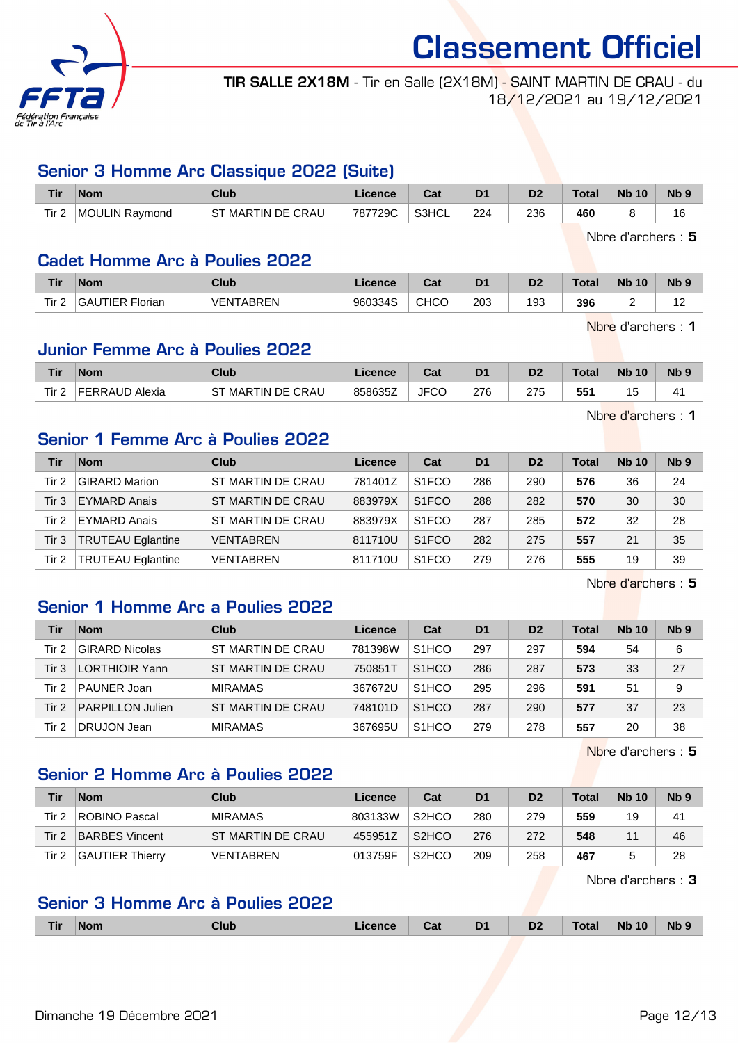

TIR SALLE 2X18M - Tir en Salle (2X18M) - SAINT MARTIN DE CRAU - du 18/12/2021 au 19/12/2021

#### Senior 3 Homme Arc Classique 2022 (Suite)

| <b>Tir</b>       | <b>Nom</b>     | Club                 | Licence | $P - 1$<br>⊍م | D <sub>1</sub> | D2  | <b>Total</b> | <b>N<sub>b</sub></b><br>10 | N <sub>b</sub> 9 |
|------------------|----------------|----------------------|---------|---------------|----------------|-----|--------------|----------------------------|------------------|
| Tir <sub>2</sub> | MOULIN Ravmond | MARTIN DE CRAU<br>SТ | 787729C | S3HCL         | 224            | 236 | 460          |                            | 16               |

Nbre d'archers : 5

#### Cadet Homme Arc à Poulies 2022

| Tir                          | Nom                | Club             | Licence | ו ה<br>saı  | D <sub>1</sub> | D <sub>2</sub> | Total | <b>Nb</b><br>$\sqrt{10}$ | N <sub>b</sub> <sub>9</sub> |
|------------------------------|--------------------|------------------|---------|-------------|----------------|----------------|-------|--------------------------|-----------------------------|
| Tir <sub>2</sub><br><u>.</u> | GAUTIER<br>Florian | <b>VENTABREN</b> | 960334S | <b>CHCO</b> | 203            | 193            | 396   |                          | م م                         |

Nbre d'archers : 1

Nbre d'archers : 1

#### Junior Femme Arc à Poulies 2022

| <b>Tir</b>              | <b>Nom</b>        | <b>Club</b>                             | <b>Licence</b> | $R_{\rm{orb}}$<br>ua | D <sub>1</sub> | D2          | <b>Total</b> | <b>N<sub>b</sub></b><br>10 | <b>Nb</b> |
|-------------------------|-------------------|-----------------------------------------|----------------|----------------------|----------------|-------------|--------------|----------------------------|-----------|
| Tir <sub>2</sub><br>. . | FFRRAUD<br>Alexia | रTIN DE CRAU<br>.ST<br>MAR <sup>-</sup> | 858635Z        | JI<br>◡              | 276            | つフド<br>ں ہے | 551          | ں،                         | ᅭ         |

Senior 1 Femme Arc à Poulies 2022

| Tir   | <b>Nom</b>               | Club              | Licence | Cat                | D <sub>1</sub> | D <sub>2</sub> | <b>Total</b> | <b>Nb 10</b> | Nb <sub>9</sub> |
|-------|--------------------------|-------------------|---------|--------------------|----------------|----------------|--------------|--------------|-----------------|
| Tir 2 | <b>GIRARD Marion</b>     | ST MARTIN DE CRAU | 781401Z | S <sub>1</sub> FCO | 286            | 290            | 576          | 36           | 24              |
| Tir 3 | <b>EYMARD Anais</b>      | ST MARTIN DE CRAU | 883979X | S <sub>1</sub> FCO | 288            | 282            | 570          | 30           | 30              |
| Tir 2 | <b>EYMARD Anais</b>      | ST MARTIN DE CRAU | 883979X | S <sub>1</sub> FCO | 287            | 285            | 572          | 32           | 28              |
| Tir 3 | <b>TRUTEAU Eglantine</b> | <b>VENTABREN</b>  | 811710U | S <sub>1</sub> FCO | 282            | 275            | 557          | 21           | 35              |
| Tir 2 | <b>TRUTEAU Eglantine</b> | <b>VENTABREN</b>  | 811710U | S <sub>1</sub> FCO | 279            | 276            | 555          | 19           | 39              |

Nbre d'archers : 5

#### Senior 1 Homme Arc a Poulies 2022

| Tir              | <b>Nom</b>              | Club                     | Licence | Cat                | D <sub>1</sub> | D <sub>2</sub> | <b>Total</b> | <b>Nb 10</b> | Nb <sub>9</sub> |
|------------------|-------------------------|--------------------------|---------|--------------------|----------------|----------------|--------------|--------------|-----------------|
| Tir 2            | <b>GIRARD Nicolas</b>   | <b>ST MARTIN DE CRAU</b> | 781398W | S <sub>1</sub> HCO | 297            | 297            | 594          | 54           | 6               |
| Tir 3            | <b>LORTHIOIR Yann</b>   | <b>ST MARTIN DE CRAU</b> | 750851T | S <sub>1</sub> HCO | 286            | 287            | 573          | 33           | 27              |
| Tir <sub>2</sub> | PAUNER Joan             | <b>MIRAMAS</b>           | 367672U | S <sub>1</sub> HCO | 295            | 296            | 591          | 51           | 9               |
| Tir <sub>2</sub> | <b>PARPILLON Julien</b> | <b>ST MARTIN DE CRAU</b> | 748101D | S <sub>1</sub> HCO | 287            | 290            | 577          | 37           | 23              |
| Tir 2            | DRUJON Jean             | <b>MIRAMAS</b>           | 367695U | S <sub>1</sub> HCO | 279            | 278            | 557          | 20           | 38              |

Nbre d'archers : 5

#### Senior 2 Homme Arc à Poulies 2022

| Tir   | <b>Nom</b>             | Club               | Licence | Cat                             | D <sub>1</sub> | D <sub>2</sub> | <b>Total</b> | <b>Nb 10</b>   | N <sub>b</sub> <sub>9</sub> |
|-------|------------------------|--------------------|---------|---------------------------------|----------------|----------------|--------------|----------------|-----------------------------|
| Tir 2 | ROBINO Pascal          | <b>MIRAMAS</b>     | 803133W | S <sub>2</sub> H <sub>C</sub> O | 280            | 279            | 559          | 19             | 41                          |
| Tir 2 | <b>BARBES Vincent</b>  | IST MARTIN DE CRAU | 455951Z | S <sub>2</sub> HCO              | 276            | 272            | 548          | 4 <sub>4</sub> | 46                          |
| Tir 2 | <b>GAUTIER Thierry</b> | <b>VENTABREN</b>   | 013759F | S <sub>2</sub> H <sub>CO</sub>  | 209            | 258            | 467          |                | 28                          |

Nbre d'archers : 3

## Senior 3 Homme Arc à Poulies 2022

| Tir | <b>Nom</b> | Slub. | icence | Cat | D <sub>1</sub> | n <sub>0</sub><br>υZ | Tota | 10<br><b>Nb</b> | <b>Nb</b> |
|-----|------------|-------|--------|-----|----------------|----------------------|------|-----------------|-----------|
|     |            |       |        |     |                |                      |      |                 |           |

Dimanche 19 Décembre 2021 **Page 12/13**